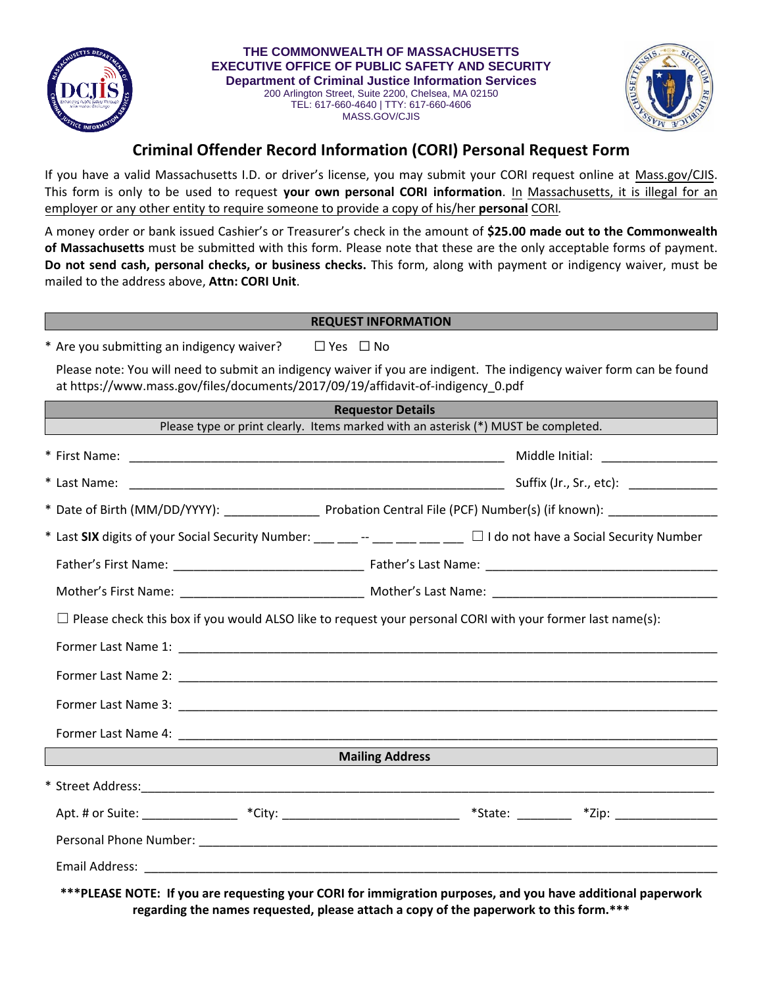

**THE COMMONWEALTH OF MASSACHUSETTS EXECUTIVE OFFICE OF PUBLIC SAFETY AND SECURITY Department of Criminal Justice Information Services**  200 Arlington Street, Suite 2200, Chelsea, MA 02150 TEL: 617-660-4640 | TTY: 617-660-4606

MASS.GOV/CJIS



## **Criminal Offender Record Information (CORI) Personal Request Form**

If you have a valid Massachusetts I.D. or driver's license, you may submit your CORI request online at Mass.gov/CJIS. This form is only to be used to request **your own personal CORI information**. In Massachusetts, it is illegal for an employer or any other entity to require someone to provide a copy of his/her **personal** CORI*.*

A money order or bank issued Cashier's or Treasurer's check in the amount of **\$25.00 made out to the Commonwealth of Massachusetts** must be submitted with this form. Please note that these are the only acceptable forms of payment. **Do not send cash, personal checks, or business checks.** This form, along with payment or indigency waiver, must be mailed to the address above, **Attn: CORI Unit**.

## **REQUEST INFORMATION**

\* Are you submitting an indigency waiver?  $□$  Yes  $□$  No

Please note: You will need to submit an indigency waiver if you are indigent. The indigency waiver form can be found at https://www.mass.gov/files/documents/2017/09/19/affidavit-of-indigency\_0.pdf

| <b>Requestor Details</b>                                                                                                  |  |  |  |  |
|---------------------------------------------------------------------------------------------------------------------------|--|--|--|--|
| Please type or print clearly. Items marked with an asterisk (*) MUST be completed.                                        |  |  |  |  |
|                                                                                                                           |  |  |  |  |
|                                                                                                                           |  |  |  |  |
|                                                                                                                           |  |  |  |  |
| * Last SIX digits of your Social Security Number: ___ __ -- ___ __ __ __ _ _ _ _ _ _ do not have a Social Security Number |  |  |  |  |
|                                                                                                                           |  |  |  |  |
| Mother's First Name: ___________________________________ Mother's Last Name: _________________________________            |  |  |  |  |
| $\Box$ Please check this box if you would ALSO like to request your personal CORI with your former last name(s):          |  |  |  |  |
|                                                                                                                           |  |  |  |  |
|                                                                                                                           |  |  |  |  |
|                                                                                                                           |  |  |  |  |
|                                                                                                                           |  |  |  |  |
| <b>Mailing Address</b>                                                                                                    |  |  |  |  |
|                                                                                                                           |  |  |  |  |
| Apt. # or Suite: __________________ *City: _______________________________ *State: __________ *Zip: ________________      |  |  |  |  |
|                                                                                                                           |  |  |  |  |
|                                                                                                                           |  |  |  |  |
| ***PLEASE NOTE: If you are requesting your CORI for immigration purposes, and you have additional paperwork               |  |  |  |  |

**regarding the names requested, please attach a copy of the paperwork to this form.\*\*\***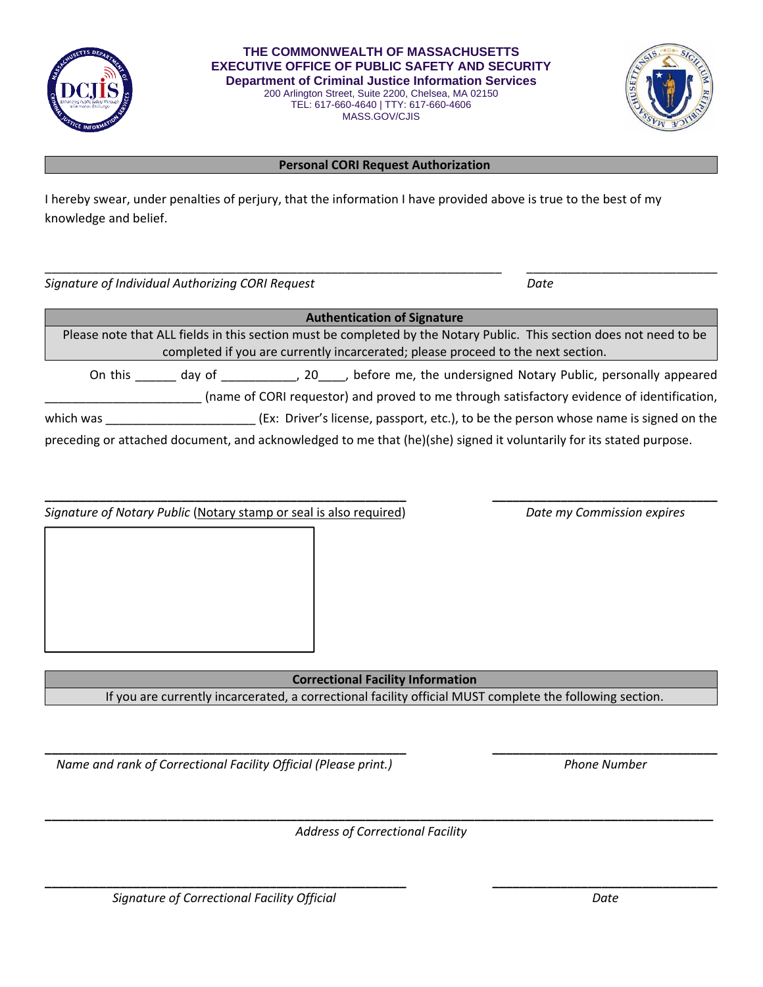

**THE COMMONWEALTH OF MASSACHUSETTS EXECUTIVE OFFICE OF PUBLIC SAFETY AND SECURITY Department of Criminal Justice Information Services**  200 Arlington Street, Suite 2200, Chelsea, MA 02150

TEL: 617-660-4640 | TTY: 617-660-4606 MASS.GOV/CJIS



## **Personal CORI Request Authorization**

I hereby swear, under penalties of perjury, that the information I have provided above is true to the best of my knowledge and belief.

*Signature of Individual Authorizing CORI Request Date*

| <b>Authentication of Signature</b> |        |                                                                                                                      |
|------------------------------------|--------|----------------------------------------------------------------------------------------------------------------------|
|                                    |        | Please note that ALL fields in this section must be completed by the Notary Public. This section does not need to be |
|                                    |        | completed if you are currently incarcerated; please proceed to the next section.                                     |
| On this                            | day of | 20 ____, before me, the undersigned Notary Public, personally appeared                                               |
|                                    |        | (name of CORI requestor) and proved to me through satisfactory evidence of identification,                           |
| which was                          |        | (Ex: Driver's license, passport, etc.), to be the person whose name is signed on the                                 |
|                                    |        | preceding or attached document, and acknowledged to me that (he)(she) signed it voluntarily for its stated purpose.  |

\_\_\_\_\_\_\_\_\_\_\_\_\_\_\_\_\_\_\_\_\_\_\_\_\_\_\_\_\_\_\_\_\_\_\_\_\_\_\_\_\_\_\_\_\_\_\_\_\_\_\_\_\_\_\_\_\_\_\_\_\_\_\_\_\_\_\_ \_\_\_\_\_\_\_\_\_\_\_\_\_\_\_\_\_\_\_\_\_\_\_\_\_\_\_\_

| Signature of Notary Public (Notary stamp or seal is also required) |  | Date my Commission expires |
|--------------------------------------------------------------------|--|----------------------------|
|                                                                    |  |                            |
|                                                                    |  |                            |
|                                                                    |  |                            |
|                                                                    |  |                            |
|                                                                    |  |                            |
|                                                                    |  |                            |

**Correctional Facility Information** If you are currently incarcerated, a correctional facility official MUST complete the following section.

*Name and rank of Correctional Facility Official (Please print.) Phone Number* 

**\_\_\_\_\_\_\_\_\_\_\_\_\_\_\_\_\_\_\_\_\_\_\_\_\_\_\_\_\_\_\_\_\_\_\_\_\_\_\_\_\_\_\_\_\_\_\_\_\_\_\_\_\_\_\_\_\_\_\_\_\_\_\_\_\_\_\_\_\_\_\_\_\_\_\_\_\_\_\_\_\_\_\_\_\_\_\_\_\_\_\_\_\_\_\_\_\_\_** *Address of Correctional Facility*

**\_\_\_\_\_\_\_\_\_\_\_\_\_\_\_\_\_\_\_\_\_\_\_\_\_\_\_\_\_\_\_\_\_\_\_\_\_\_\_\_\_\_\_\_\_\_\_\_\_\_\_\_\_ \_\_\_\_\_\_\_\_\_\_\_\_\_\_\_\_\_\_\_\_\_\_\_\_\_\_\_\_\_\_\_\_\_**

**\_\_\_\_\_\_\_\_\_\_\_\_\_\_\_\_\_\_\_\_\_\_\_\_\_\_\_\_\_\_\_\_\_\_\_\_\_\_\_\_\_\_\_\_\_\_\_\_\_\_\_\_\_ \_\_\_\_\_\_\_\_\_\_\_\_\_\_\_\_\_\_\_\_\_\_\_\_\_\_\_\_\_\_\_\_\_**

*Signature of Correctional Facility Official Date*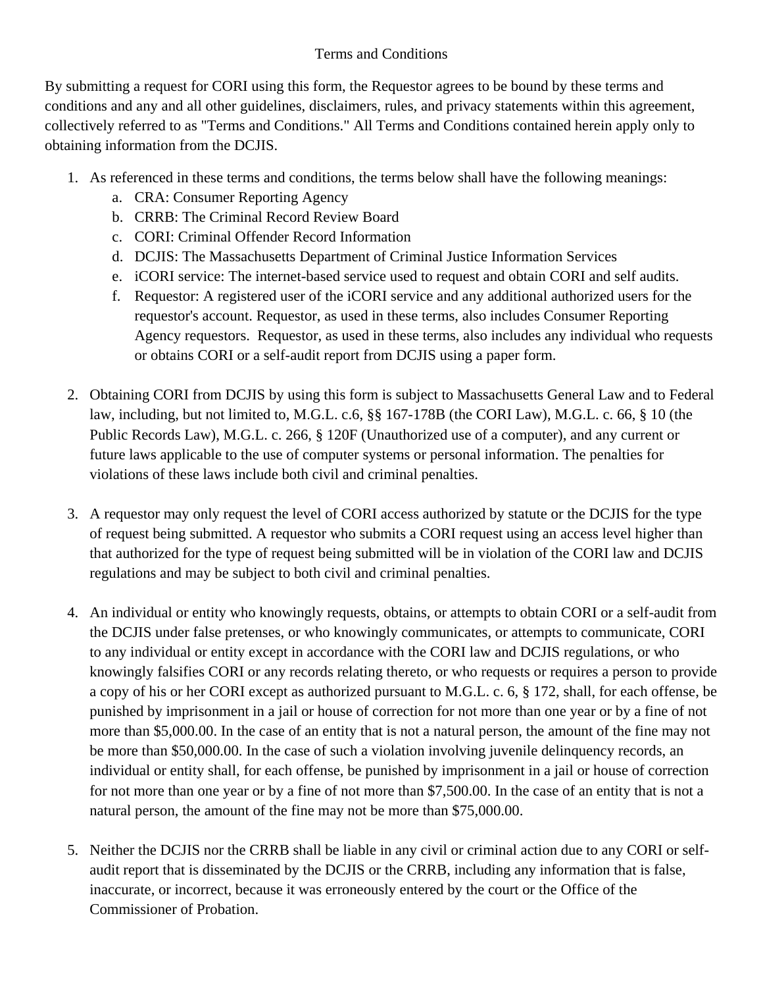## Terms and Conditions

By submitting a request for CORI using this form, the Requestor agrees to be bound by these terms and conditions and any and all other guidelines, disclaimers, rules, and privacy statements within this agreement, collectively referred to as "Terms and Conditions." All Terms and Conditions contained herein apply only to obtaining information from the DCJIS.

- 1. As referenced in these terms and conditions, the terms below shall have the following meanings:
	- a. CRA: Consumer Reporting Agency
	- b. CRRB: The Criminal Record Review Board
	- c. CORI: Criminal Offender Record Information
	- d. DCJIS: The Massachusetts Department of Criminal Justice Information Services
	- e. iCORI service: The internet-based service used to request and obtain CORI and self audits.
	- f. Requestor: A registered user of the iCORI service and any additional authorized users for the requestor's account. Requestor, as used in these terms, also includes Consumer Reporting Agency requestors. Requestor, as used in these terms, also includes any individual who requests or obtains CORI or a self-audit report from DCJIS using a paper form.
- 2. Obtaining CORI from DCJIS by using this form is subject to Massachusetts General Law and to Federal law, including, but not limited to, M.G.L. c.6, §§ 167-178B (the CORI Law), M.G.L. c. 66, § 10 (the Public Records Law), M.G.L. c. 266, § 120F (Unauthorized use of a computer), and any current or future laws applicable to the use of computer systems or personal information. The penalties for violations of these laws include both civil and criminal penalties.
- 3. A requestor may only request the level of CORI access authorized by statute or the DCJIS for the type of request being submitted. A requestor who submits a CORI request using an access level higher than that authorized for the type of request being submitted will be in violation of the CORI law and DCJIS regulations and may be subject to both civil and criminal penalties.
- 4. An individual or entity who knowingly requests, obtains, or attempts to obtain CORI or a self-audit from the DCJIS under false pretenses, or who knowingly communicates, or attempts to communicate, CORI to any individual or entity except in accordance with the CORI law and DCJIS regulations, or who knowingly falsifies CORI or any records relating thereto, or who requests or requires a person to provide a copy of his or her CORI except as authorized pursuant to M.G.L. c. 6, § 172, shall, for each offense, be punished by imprisonment in a jail or house of correction for not more than one year or by a fine of not more than \$5,000.00. In the case of an entity that is not a natural person, the amount of the fine may not be more than \$50,000.00. In the case of such a violation involving juvenile delinquency records, an individual or entity shall, for each offense, be punished by imprisonment in a jail or house of correction for not more than one year or by a fine of not more than \$7,500.00. In the case of an entity that is not a natural person, the amount of the fine may not be more than \$75,000.00.
- 5. Neither the DCJIS nor the CRRB shall be liable in any civil or criminal action due to any CORI or selfaudit report that is disseminated by the DCJIS or the CRRB, including any information that is false, inaccurate, or incorrect, because it was erroneously entered by the court or the Office of the Commissioner of Probation.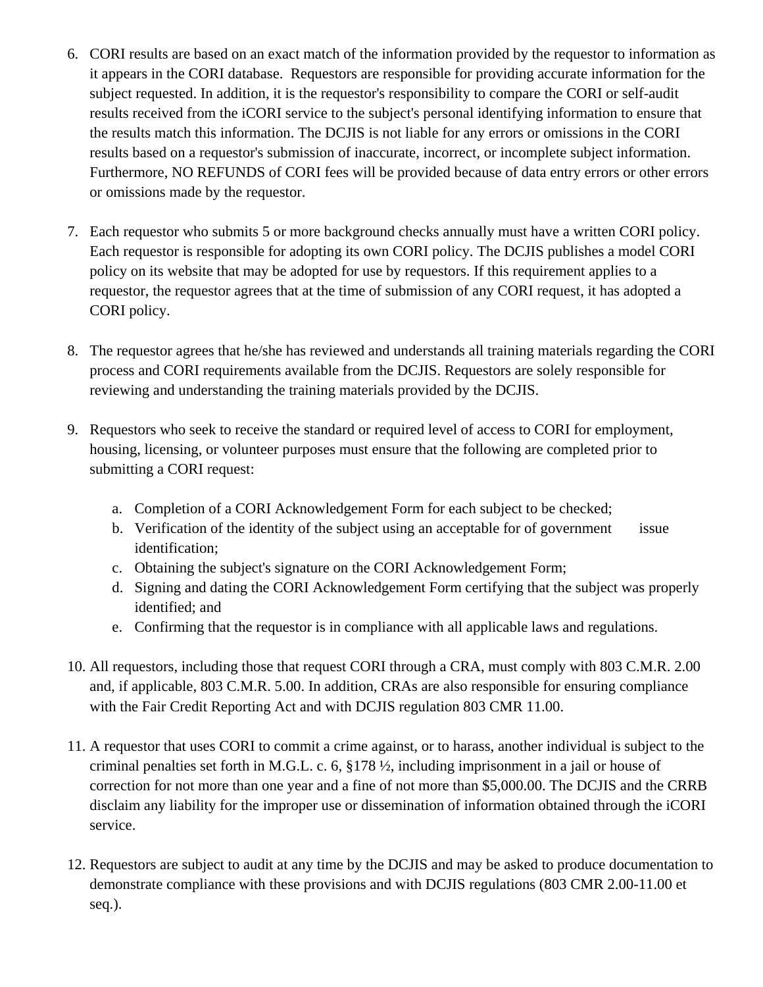- 6. CORI results are based on an exact match of the information provided by the requestor to information as it appears in the CORI database. Requestors are responsible for providing accurate information for the subject requested. In addition, it is the requestor's responsibility to compare the CORI or self-audit results received from the iCORI service to the subject's personal identifying information to ensure that the results match this information. The DCJIS is not liable for any errors or omissions in the CORI results based on a requestor's submission of inaccurate, incorrect, or incomplete subject information. Furthermore, NO REFUNDS of CORI fees will be provided because of data entry errors or other errors or omissions made by the requestor.
- 7. Each requestor who submits 5 or more background checks annually must have a written CORI policy. Each requestor is responsible for adopting its own CORI policy. The DCJIS publishes a model CORI policy on its website that may be adopted for use by requestors. If this requirement applies to a requestor, the requestor agrees that at the time of submission of any CORI request, it has adopted a CORI policy.
- 8. The requestor agrees that he/she has reviewed and understands all training materials regarding the CORI process and CORI requirements available from the DCJIS. Requestors are solely responsible for reviewing and understanding the training materials provided by the DCJIS.
- 9. Requestors who seek to receive the standard or required level of access to CORI for employment, housing, licensing, or volunteer purposes must ensure that the following are completed prior to submitting a CORI request:
	- a. Completion of a CORI Acknowledgement Form for each subject to be checked;
	- b. Verification of the identity of the subject using an acceptable for of government issue identification;
	- c. Obtaining the subject's signature on the CORI Acknowledgement Form;
	- d. Signing and dating the CORI Acknowledgement Form certifying that the subject was properly identified; and
	- e. Confirming that the requestor is in compliance with all applicable laws and regulations.
- 10. All requestors, including those that request CORI through a CRA, must comply with 803 C.M.R. 2.00 and, if applicable, 803 C.M.R. 5.00. In addition, CRAs are also responsible for ensuring compliance with the Fair Credit Reporting Act and with DCJIS regulation 803 CMR 11.00.
- 11. A requestor that uses CORI to commit a crime against, or to harass, another individual is subject to the criminal penalties set forth in M.G.L. c. 6, §178 ½, including imprisonment in a jail or house of correction for not more than one year and a fine of not more than \$5,000.00. The DCJIS and the CRRB disclaim any liability for the improper use or dissemination of information obtained through the iCORI service.
- 12. Requestors are subject to audit at any time by the DCJIS and may be asked to produce documentation to demonstrate compliance with these provisions and with DCJIS regulations (803 CMR 2.00-11.00 et seq.).